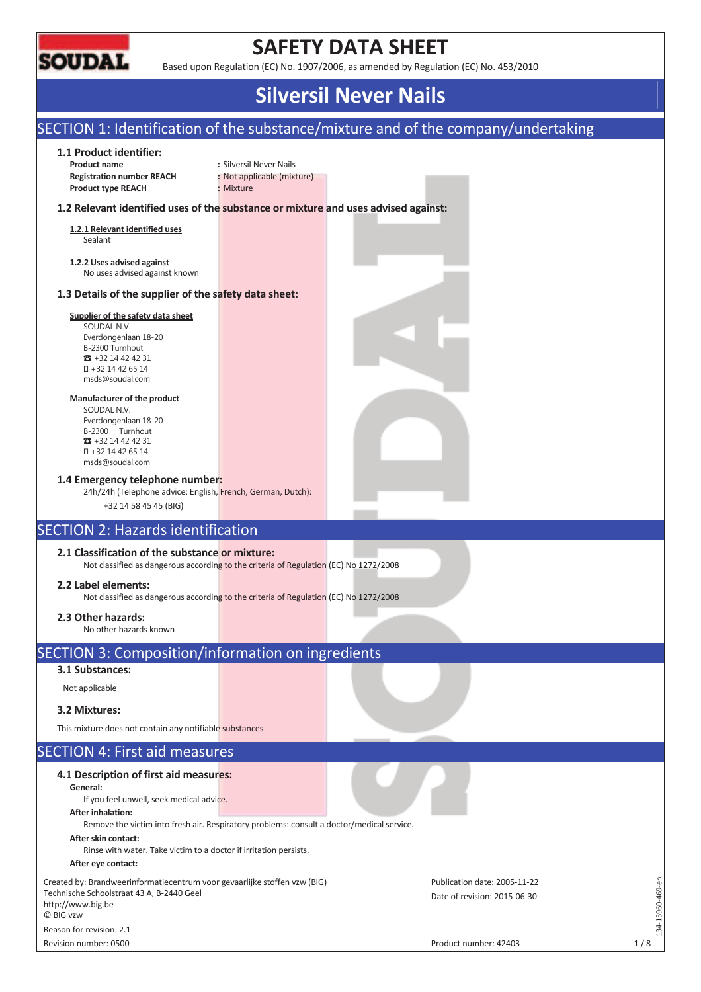

## **SAFETY DATA SHEET**

Based upon Regulation (EC) No. 1907/2006, as amended by Regulation (EC) No. 453/2010

## **Silversil Never Nails**

## SECTION 1: Identification of the substance/mixture and of the company/undertaking

### **1.1 Product identifier:**

**Product name** : Silversil Never Nails **Registration number REACH :** Not applicable (mixture) **Product type REACH :** Mixture

### **1.2 Relevant identified uses of the substance or mixture and uses advised against:**

**1.2.1 Relevant identified uses**  Sealant

**1.2.2 Uses advised against**  No uses advised against known

### **1.3 Details of the supplier of the safety data sheet:**

#### **Supplier of the safety data sheet**

SOUDAL N.V. Everdongenlaan 18-20 B-2300 Turnhout  $\pi$  +32 14 42 42 31 +32 14 42 65 14 msds@soudal.com

#### **Manufacturer of the product**

SOUDAL N.V. Everdongenlaan 18-20 B-2300 Turnhout  $\overline{3}$  +32 14 42 42 31 +32 14 42 65 14 msds@soudal.com

#### **1.4 Emergency telephone number:**

24h/24h (Telephone advice: English, French, German, Dutch):

+32 14 58 45 45 (BIG)

### SECTION 2: Hazards identification

### **2.1 Classification of the substance or mixture:**

Not classified as dangerous according to the criteria of Regulation (EC) No 1272/2008

### **2.2 Label elements:**

Not classified as dangerous according to the criteria of Regulation (EC) No 1272/2008

### **2.3 Other hazards:**

No other hazards known

## SECTION 3: Composition/information on ingredients

### **3.1 Substances:**

Not applicable

### **3.2 Mixtures:**

This mixture does not contain any notifiable substances

### SECTION 4: First aid measures

#### **4.1 Description of first aid measures: General:**  If you feel unwell, seek medical advice. **After inhalation:**  Remove the victim into fresh air. Respiratory problems: consult a doctor/medical service. **After skin contact:**  Rinse with water. Take victim to a doctor if irritation persists. **After eye contact:**  134-15960-469-en Created by: Brandweerinformatiecentrum voor gevaarlijke stoffen vzw (BIG) Publication date: 2005-11-22  $-15960 - 469 - en$ Technische Schoolstraat 43 A, B-2440 Geel Date of revision: 2015-06-30 http://www.big.be © BIG vzw  $-14$ Reason for revision: 2.1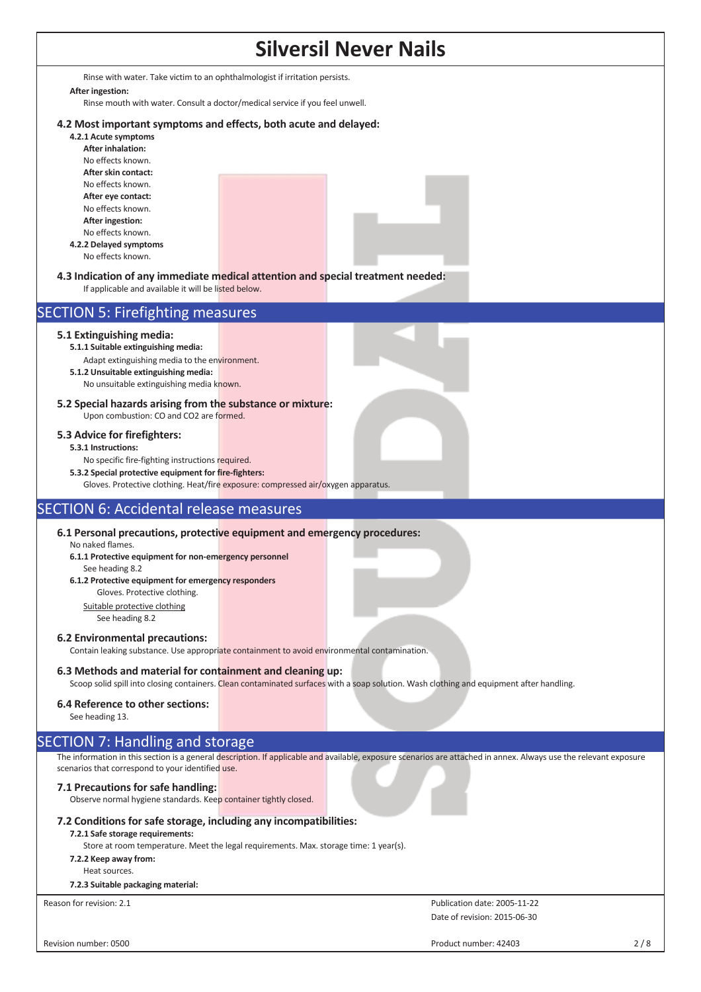## **Silversil Never Nails**  Rinse with water. Take victim to an ophthalmologist if irritation persists. **After ingestion:**  Rinse mouth with water. Consult a doctor/medical service if you feel unwell. **4.2 Most important symptoms and effects, both acute and delayed: 4.2.1 Acute symptoms After inhalation:**  No effects known. **After skin contact:**  No effects known. **After eye contact:**  No effects known. **After ingestion:**  No effects known. **4.2.2 Delayed symptoms**  No effects known. **4.3 Indication of any immediate medical attention and special treatment needed:** If applicable and available it will be listed below. SECTION 5: Firefighting measures **5.1 Extinguishing media: 5.1.1 Suitable extinguishing media:**  Adapt extinguishing media to the environment. **5.1.2 Unsuitable extinguishing media:** No unsuitable extinguishing media known. **5.2 Special hazards arising from the substance or mixture:** Upon combustion: CO and CO2 are formed. **5.3 Advice for firefighters: 5.3.1 Instructions:**  No specific fire-fighting instructions required. **5.3.2 Special protective equipment for fire-fighters:**  Gloves. Protective clothing. Heat/fire exposure: compressed air/oxygen apparatus. SECTION 6: Accidental release measures **6.1 Personal precautions, protective equipment and emergency procedures:** No naked flames. **6.1.1 Protective equipment for non-emergency personnel**  See heading 8.2 **6.1.2 Protective equipment for emergency responders** Gloves. Protective clothing. Suitable protective clothing See heading 8.2 **6.2 Environmental precautions:** Contain leaking substance. Use appropriate containment to avoid environmental contamination. **6.3 Methods and material for containment and cleaning up:** Scoop solid spill into closing containers. Clean contaminated surfaces with a soap solution. Wash clothing and equipment after handling. **6.4 Reference to other sections:** See heading 13. SECTION 7: Handling and storage The information in this section is a general description. If applicable and available, exposure scenarios are attached in annex. Always use the relevant exposure scenarios that correspond to your identified use. **7.1 Precautions for safe handling:** Observe normal hygiene standards. Keep container tightly closed. **7.2 Conditions for safe storage, including any incompatibilities: 7.2.1 Safe storage requirements:**  Store at room temperature. Meet the legal requirements. Max. storage time: 1 year(s). **7.2.2 Keep away from:**  Heat sources. **7.2.3 Suitable packaging material:**  Reason for revision: 2.1 **Publication date: 2005-11-22** Publication date: 2005-11-22 Date of revision: 2015-06-30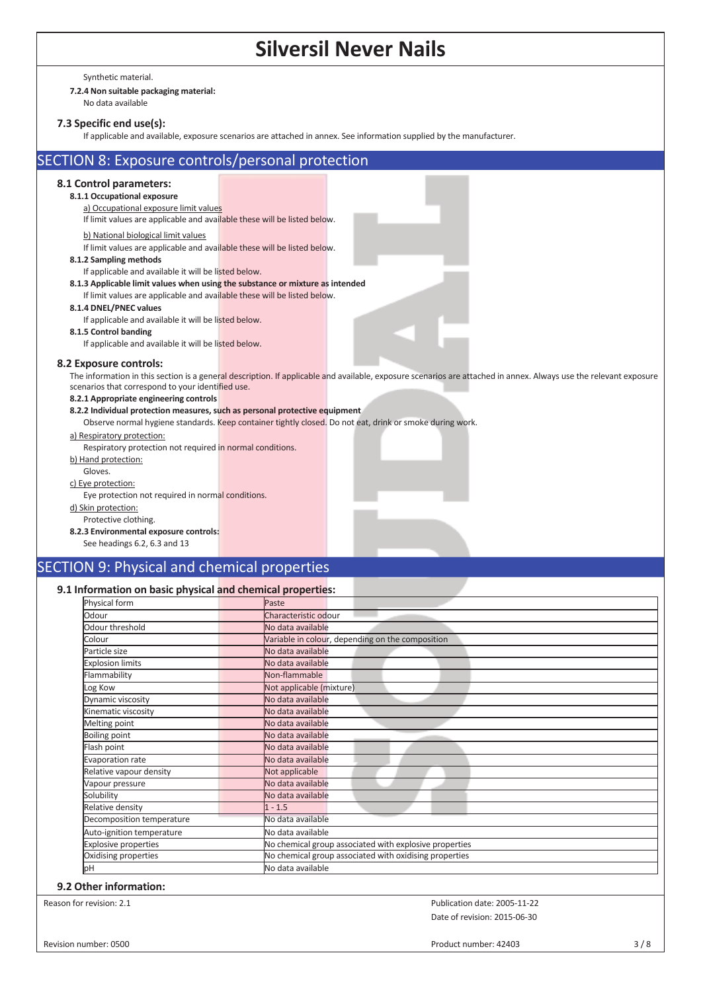Synthetic material.

## **7.2.4 Non suitable packaging material:**

No data available

## **7.3 Specific end use(s):**

If applicable and available, exposure scenarios are attached in annex. See information supplied by the manufacturer.

| SECTION 8: Exposure controls/personal protection                              |                                                                                                                                                                   |
|-------------------------------------------------------------------------------|-------------------------------------------------------------------------------------------------------------------------------------------------------------------|
| 8.1 Control parameters:<br>8.1.1 Occupational exposure                        |                                                                                                                                                                   |
| a) Occupational exposure limit values                                         |                                                                                                                                                                   |
| If limit values are applicable and available these will be listed below.      |                                                                                                                                                                   |
|                                                                               |                                                                                                                                                                   |
| b) National biological limit values                                           |                                                                                                                                                                   |
| If limit values are applicable and available these will be listed below.      |                                                                                                                                                                   |
| 8.1.2 Sampling methods                                                        |                                                                                                                                                                   |
| If applicable and available it will be listed below.                          |                                                                                                                                                                   |
| 8.1.3 Applicable limit values when using the substance or mixture as intended |                                                                                                                                                                   |
| If limit values are applicable and available these will be listed below.      |                                                                                                                                                                   |
| 8.1.4 DNEL/PNEC values                                                        |                                                                                                                                                                   |
| If applicable and available it will be listed below.                          |                                                                                                                                                                   |
| 8.1.5 Control banding                                                         |                                                                                                                                                                   |
| If applicable and available it will be listed below.                          |                                                                                                                                                                   |
| 8.2 Exposure controls:                                                        |                                                                                                                                                                   |
|                                                                               | The information in this section is a general description. If applicable and available, exposure scenarios are attached in annex. Always use the relevant exposure |
| scenarios that correspond to your identified use.                             |                                                                                                                                                                   |
| 8.2.1 Appropriate engineering controls                                        |                                                                                                                                                                   |
| 8.2.2 Individual protection measures, such as personal protective equipment   |                                                                                                                                                                   |
|                                                                               | Observe normal hygiene standards. Keep container tightly closed. Do not eat, drink or smoke during work.                                                          |
| a) Respiratory protection:                                                    |                                                                                                                                                                   |
| Respiratory protection not required in normal conditions.                     |                                                                                                                                                                   |
| b) Hand protection:                                                           |                                                                                                                                                                   |
| Gloves.                                                                       |                                                                                                                                                                   |
| c) Eye protection:                                                            |                                                                                                                                                                   |
| Eye protection not required in normal conditions.                             |                                                                                                                                                                   |
| d) Skin protection:                                                           |                                                                                                                                                                   |
| Protective clothing.                                                          |                                                                                                                                                                   |
| 8.2.3 Environmental exposure controls:                                        |                                                                                                                                                                   |
| See headings 6.2, 6.3 and 13                                                  |                                                                                                                                                                   |
| <b>CONTRACTOR</b><br>-------                                                  |                                                                                                                                                                   |

## SECTION 9: Physical and chemical properties

### **9.1 Information on basic physical and chemical properties:**

| Physical form                                                                         | Paste                                                  |  |  |
|---------------------------------------------------------------------------------------|--------------------------------------------------------|--|--|
| Odour                                                                                 | Characteristic odour                                   |  |  |
| Odour threshold                                                                       | No data available                                      |  |  |
| Colour                                                                                | Variable in colour, depending on the composition       |  |  |
| Particle size                                                                         | No data available                                      |  |  |
| <b>Explosion limits</b>                                                               | No data available                                      |  |  |
| Flammability                                                                          | Non-flammable                                          |  |  |
| Log Kow                                                                               | Not applicable (mixture)                               |  |  |
| Dynamic viscosity                                                                     | No data available                                      |  |  |
| Kinematic viscosity                                                                   | No data available                                      |  |  |
| Melting point                                                                         | No data available                                      |  |  |
| <b>Boiling point</b>                                                                  | No data available                                      |  |  |
| Flash point                                                                           | No data available                                      |  |  |
| Evaporation rate                                                                      | No data available                                      |  |  |
| Relative vapour density                                                               | Not applicable                                         |  |  |
| Vapour pressure                                                                       | No data available                                      |  |  |
| Solubility                                                                            | No data available                                      |  |  |
| Relative density                                                                      | $1 - 1.5$                                              |  |  |
| Decomposition temperature                                                             | No data available                                      |  |  |
| Auto-ignition temperature                                                             | No data available                                      |  |  |
| No chemical group associated with explosive properties<br><b>Explosive properties</b> |                                                        |  |  |
| Oxidising properties                                                                  | No chemical group associated with oxidising properties |  |  |
| юH                                                                                    | No data available                                      |  |  |

#### **9.2 Other information:**

Reason for revision: 2.1 **Publication date: 2005-11-22 Publication date: 2005-11-22** Date of revision: 2015-06-30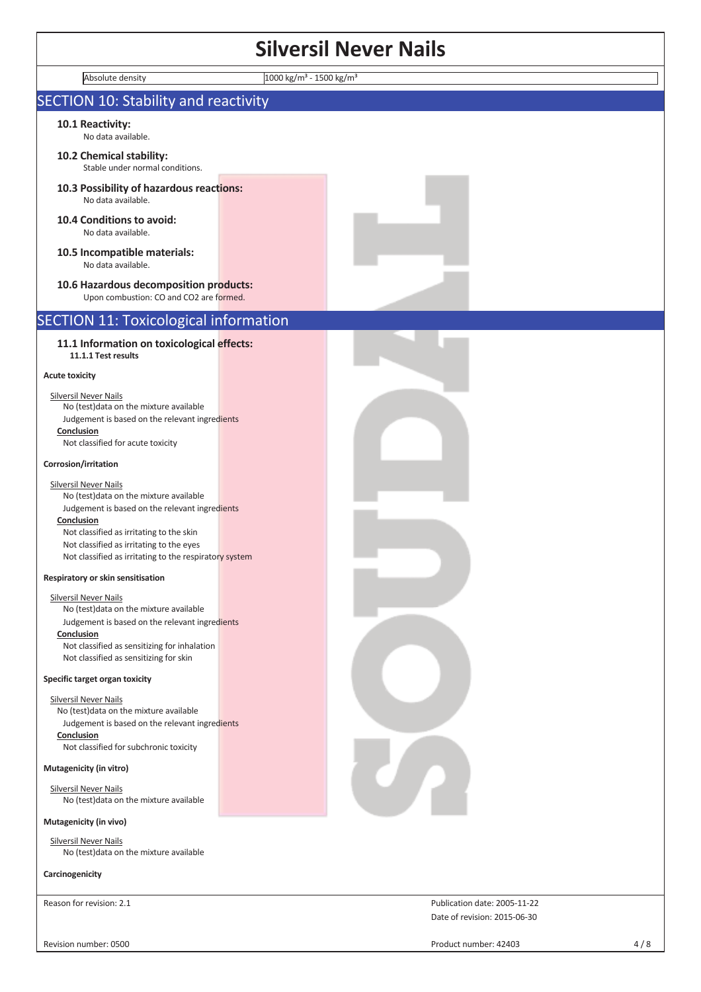| Absolute density                                                                                                                                                                                                                                                                          | 1000 kg/m <sup>3</sup> - 1500 kg/m <sup>3</sup> |  |
|-------------------------------------------------------------------------------------------------------------------------------------------------------------------------------------------------------------------------------------------------------------------------------------------|-------------------------------------------------|--|
| <b>SECTION 10: Stability and reactivity</b>                                                                                                                                                                                                                                               |                                                 |  |
| 10.1 Reactivity:<br>No data available.                                                                                                                                                                                                                                                    |                                                 |  |
| 10.2 Chemical stability:<br>Stable under normal conditions.                                                                                                                                                                                                                               |                                                 |  |
| 10.3 Possibility of hazardous reactions:<br>No data available.                                                                                                                                                                                                                            |                                                 |  |
| 10.4 Conditions to avoid:<br>No data available.                                                                                                                                                                                                                                           |                                                 |  |
| 10.5 Incompatible materials:<br>No data available.                                                                                                                                                                                                                                        |                                                 |  |
| 10.6 Hazardous decomposition products:<br>Upon combustion: CO and CO2 are formed.                                                                                                                                                                                                         |                                                 |  |
| <b>SECTION 11: Toxicological information</b>                                                                                                                                                                                                                                              |                                                 |  |
| 11.1 Information on toxicological effects:<br>11.1.1 Test results                                                                                                                                                                                                                         |                                                 |  |
| <b>Acute toxicity</b>                                                                                                                                                                                                                                                                     |                                                 |  |
| <b>Silversil Never Nails</b><br>No (test) data on the mixture available<br>Judgement is based on the relevant ingredients<br>Conclusion<br>Not classified for acute toxicity                                                                                                              |                                                 |  |
| Corrosion/irritation                                                                                                                                                                                                                                                                      |                                                 |  |
| <b>Silversil Never Nails</b><br>No (test) data on the mixture available<br>Judgement is based on the relevant ingredients<br>Conclusion<br>Not classified as irritating to the skin<br>Not classified as irritating to the eyes<br>Not classified as irritating to the respiratory system |                                                 |  |
| Respiratory or skin sensitisation                                                                                                                                                                                                                                                         |                                                 |  |
| <b>Silversil Never Nails</b><br>No (test)data on the mixture available<br>Judgement is based on the relevant ingredients<br>Conclusion<br>Not classified as sensitizing for inhalation<br>Not classified as sensitizing for skin                                                          |                                                 |  |
| Specific target organ toxicity                                                                                                                                                                                                                                                            |                                                 |  |
| <b>Silversil Never Nails</b><br>No (test) data on the mixture available<br>Judgement is based on the relevant ingredients<br>Conclusion<br>Not classified for subchronic toxicity                                                                                                         |                                                 |  |
| Mutagenicity (in vitro)                                                                                                                                                                                                                                                                   |                                                 |  |
| <b>Silversil Never Nails</b><br>No (test) data on the mixture available                                                                                                                                                                                                                   |                                                 |  |
| Mutagenicity (in vivo)                                                                                                                                                                                                                                                                    |                                                 |  |
| <b>Silversil Never Nails</b><br>No (test)data on the mixture available                                                                                                                                                                                                                    |                                                 |  |
| Carcinogenicity                                                                                                                                                                                                                                                                           |                                                 |  |

Reason for revision: 2.1 **Publication date: 2005-11-22** Publication date: 2005-11-22

Revision number: 0500 4/8

Date of revision: 2015-06-30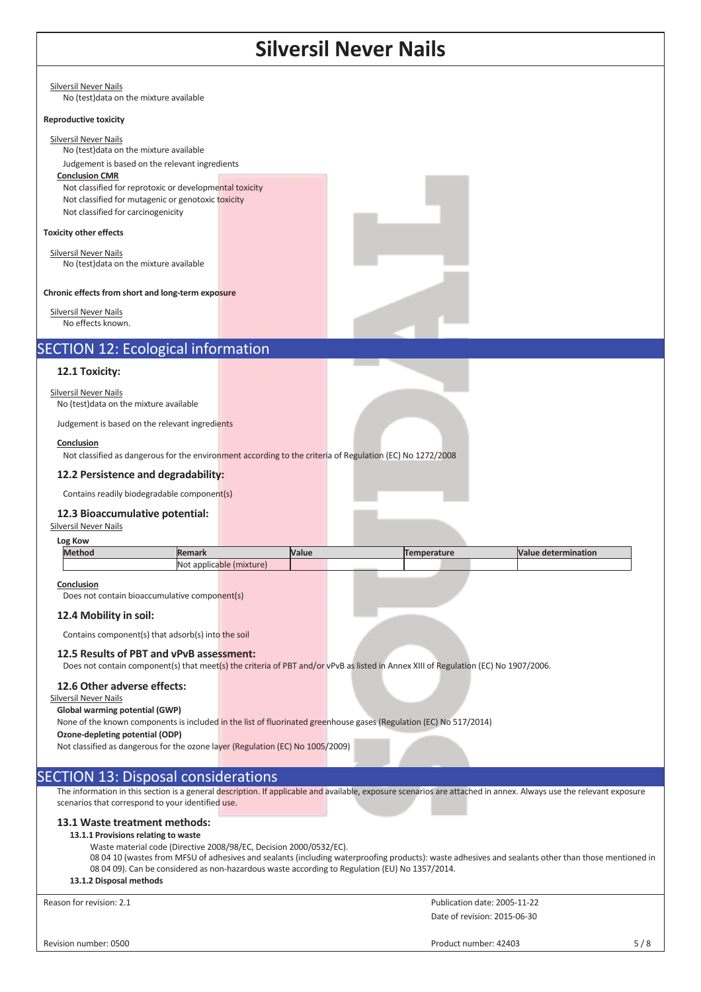|                                                                                                                                                                                                                                                                                                                                          |                                                                                                                                                                      | JII IVUVLI |                                                                                                                                                     |                              |  |
|------------------------------------------------------------------------------------------------------------------------------------------------------------------------------------------------------------------------------------------------------------------------------------------------------------------------------------------|----------------------------------------------------------------------------------------------------------------------------------------------------------------------|------------|-----------------------------------------------------------------------------------------------------------------------------------------------------|------------------------------|--|
| <b>Silversil Never Nails</b><br>No (test) data on the mixture available                                                                                                                                                                                                                                                                  |                                                                                                                                                                      |            |                                                                                                                                                     |                              |  |
| <b>Reproductive toxicity</b>                                                                                                                                                                                                                                                                                                             |                                                                                                                                                                      |            |                                                                                                                                                     |                              |  |
| <b>Silversil Never Nails</b><br>No (test) data on the mixture available<br>Judgement is based on the relevant ingredients<br><b>Conclusion CMR</b><br>Not classified for reprotoxic or developmental toxicity<br>Not classified for mutagenic or genotoxic toxicity<br>Not classified for carcinogenicity                                |                                                                                                                                                                      |            |                                                                                                                                                     |                              |  |
| <b>Toxicity other effects</b>                                                                                                                                                                                                                                                                                                            |                                                                                                                                                                      |            |                                                                                                                                                     |                              |  |
| <b>Silversil Never Nails</b><br>No (test) data on the mixture available                                                                                                                                                                                                                                                                  |                                                                                                                                                                      |            |                                                                                                                                                     |                              |  |
| Chronic effects from short and long-term exposure                                                                                                                                                                                                                                                                                        |                                                                                                                                                                      |            |                                                                                                                                                     |                              |  |
| <b>Silversil Never Nails</b><br>No effects known.                                                                                                                                                                                                                                                                                        |                                                                                                                                                                      |            |                                                                                                                                                     |                              |  |
| <b>SECTION 12: Ecological information</b>                                                                                                                                                                                                                                                                                                |                                                                                                                                                                      |            |                                                                                                                                                     |                              |  |
| 12.1 Toxicity:                                                                                                                                                                                                                                                                                                                           |                                                                                                                                                                      |            |                                                                                                                                                     |                              |  |
| <b>Silversil Never Nails</b><br>No (test) data on the mixture available                                                                                                                                                                                                                                                                  |                                                                                                                                                                      |            |                                                                                                                                                     |                              |  |
| Judgement is based on the relevant ingredients                                                                                                                                                                                                                                                                                           |                                                                                                                                                                      |            |                                                                                                                                                     |                              |  |
| Conclusion<br>Not classified as dangerous for the environment according to the criteria of Regulation (EC) No 1272/2008                                                                                                                                                                                                                  |                                                                                                                                                                      |            |                                                                                                                                                     |                              |  |
| 12.2 Persistence and degradability:                                                                                                                                                                                                                                                                                                      |                                                                                                                                                                      |            |                                                                                                                                                     |                              |  |
| Contains readily biodegradable component(s)                                                                                                                                                                                                                                                                                              |                                                                                                                                                                      |            |                                                                                                                                                     |                              |  |
| 12.3 Bioaccumulative potential:                                                                                                                                                                                                                                                                                                          |                                                                                                                                                                      |            |                                                                                                                                                     |                              |  |
| <b>Silversil Never Nails</b>                                                                                                                                                                                                                                                                                                             |                                                                                                                                                                      |            |                                                                                                                                                     |                              |  |
| Log Kow<br><b>Method</b>                                                                                                                                                                                                                                                                                                                 | <b>Remark</b>                                                                                                                                                        | Value      | <b>Temperature</b>                                                                                                                                  | <b>Value determination</b>   |  |
|                                                                                                                                                                                                                                                                                                                                          | Not applicable (mixture)                                                                                                                                             |            |                                                                                                                                                     |                              |  |
| <b>Conclusion</b><br>Does not contain bioaccumulative component(s)                                                                                                                                                                                                                                                                       |                                                                                                                                                                      |            |                                                                                                                                                     |                              |  |
| 12.4 Mobility in soil:<br>Contains component(s) that adsorb(s) into the soil                                                                                                                                                                                                                                                             |                                                                                                                                                                      |            |                                                                                                                                                     |                              |  |
| 12.5 Results of PBT and vPvB assessment:                                                                                                                                                                                                                                                                                                 |                                                                                                                                                                      |            | Does not contain component(s) that meet(s) the criteria of PBT and/or vPvB as listed in Annex XIII of Regulation (EC) No 1907/2006.                 |                              |  |
| 12.6 Other adverse effects:<br><b>Silversil Never Nails</b><br>Global warming potential (GWP)<br>None of the known components is included in the list of fluorinated greenhouse gases (Regulation (EC) No 517/2014)<br>Ozone-depleting potential (ODP)<br>Not classified as dangerous for the ozone layer (Regulation (EC) No 1005/2009) |                                                                                                                                                                      |            |                                                                                                                                                     |                              |  |
| <b>SECTION 13: Disposal considerations</b>                                                                                                                                                                                                                                                                                               |                                                                                                                                                                      |            |                                                                                                                                                     |                              |  |
| The information in this section is a general description. If applicable and available, exposure scenarios are attached in annex. Always use the relevant exposure<br>scenarios that correspond to your identified use.                                                                                                                   |                                                                                                                                                                      |            |                                                                                                                                                     |                              |  |
| 13.1 Waste treatment methods:<br>13.1.1 Provisions relating to waste<br>13.1.2 Disposal methods                                                                                                                                                                                                                                          | Waste material code (Directive 2008/98/EC, Decision 2000/0532/EC).<br>08 04 09). Can be considered as non-hazardous waste according to Regulation (EU) No 1357/2014. |            | 08 04 10 (wastes from MFSU of adhesives and sealants (including waterproofing products): waste adhesives and sealants other than those mentioned in |                              |  |
| Reason for revision: 2.1                                                                                                                                                                                                                                                                                                                 |                                                                                                                                                                      |            |                                                                                                                                                     |                              |  |
|                                                                                                                                                                                                                                                                                                                                          |                                                                                                                                                                      |            |                                                                                                                                                     | Publication date: 2005-11-22 |  |
|                                                                                                                                                                                                                                                                                                                                          |                                                                                                                                                                      |            |                                                                                                                                                     | Date of revision: 2015-06-30 |  |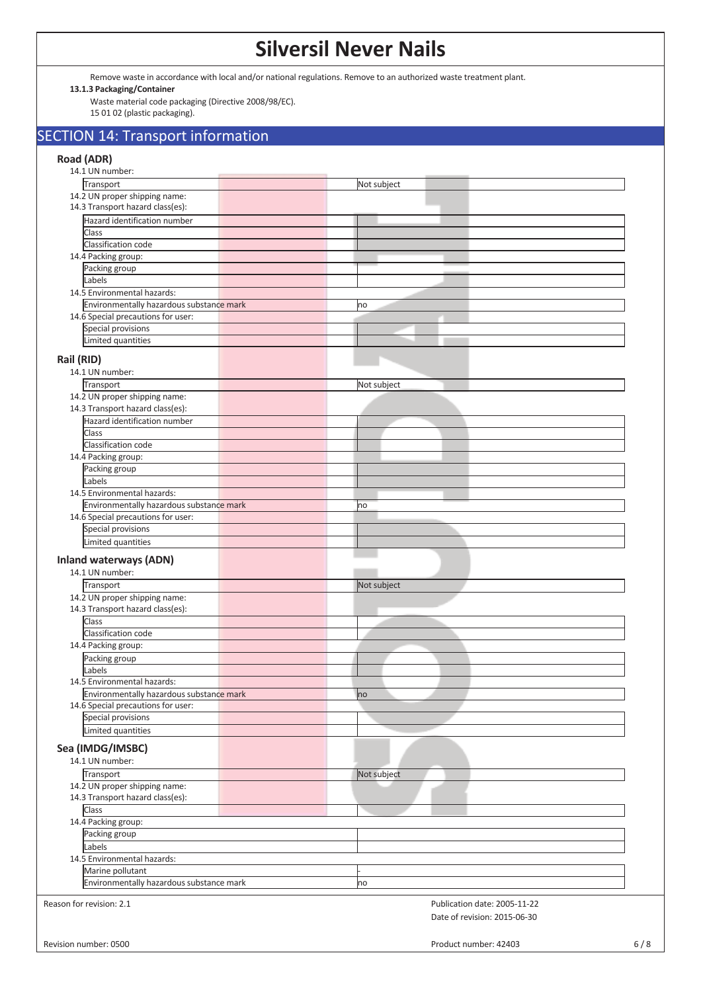Remove waste in accordance with local and/or national regulations. Remove to an authorized waste treatment plant.

#### **13.1.3 Packaging/Container**

Waste material code packaging (Directive 2008/98/EC). 15 01 02 (plastic packaging).

## SECTION 14: Transport information

## **Road (ADR)**

| 14.1 UN number:                                          |                              |  |
|----------------------------------------------------------|------------------------------|--|
| Transport                                                | Not subject                  |  |
| 14.2 UN proper shipping name:                            |                              |  |
| 14.3 Transport hazard class(es):                         |                              |  |
| Hazard identification number                             |                              |  |
| <b>Class</b>                                             |                              |  |
| Classification code                                      |                              |  |
|                                                          |                              |  |
| 14.4 Packing group:                                      |                              |  |
| Packing group                                            |                              |  |
| Labels                                                   |                              |  |
| 14.5 Environmental hazards:                              |                              |  |
| Environmentally hazardous substance mark                 | no                           |  |
| 14.6 Special precautions for user:                       |                              |  |
| Special provisions                                       |                              |  |
| Limited quantities                                       |                              |  |
|                                                          |                              |  |
| Rail (RID)                                               |                              |  |
| 14.1 UN number:                                          |                              |  |
| Transport                                                | Not subject                  |  |
| 14.2 UN proper shipping name:                            |                              |  |
| 14.3 Transport hazard class(es):                         |                              |  |
| Hazard identification number                             |                              |  |
| Class                                                    |                              |  |
| Classification code                                      |                              |  |
| 14.4 Packing group:                                      |                              |  |
| Packing group                                            |                              |  |
| Labels                                                   |                              |  |
| 14.5 Environmental hazards:                              |                              |  |
|                                                          |                              |  |
| Environmentally hazardous substance mark                 | no                           |  |
| 14.6 Special precautions for user:                       |                              |  |
| Special provisions                                       |                              |  |
| Limited quantities                                       |                              |  |
| <b>Inland waterways (ADN)</b><br>14.1 UN number:         |                              |  |
| Transport                                                | Not subject                  |  |
| 14.2 UN proper shipping name:                            |                              |  |
| 14.3 Transport hazard class(es):                         |                              |  |
| Class                                                    |                              |  |
| Classification code                                      |                              |  |
| 14.4 Packing group:                                      |                              |  |
| Packing group                                            |                              |  |
| Labels                                                   |                              |  |
| 14.5 Environmental hazards:                              |                              |  |
| Environmentally hazardous substance mark                 |                              |  |
|                                                          | пo                           |  |
| 14.6 Special precautions for user:<br>Special provisions |                              |  |
|                                                          |                              |  |
| Limited quantities                                       |                              |  |
| Sea (IMDG/IMSBC)                                         |                              |  |
| 14.1 UN number:                                          |                              |  |
|                                                          |                              |  |
| Transport                                                | Not subject                  |  |
| 14.2 UN proper shipping name:                            |                              |  |
| 14.3 Transport hazard class(es):                         |                              |  |
| Class                                                    |                              |  |
| 14.4 Packing group:                                      |                              |  |
| Packing group                                            |                              |  |
| Labels                                                   |                              |  |
| 14.5 Environmental hazards:                              |                              |  |
| Marine pollutant                                         |                              |  |
| Environmentally hazardous substance mark                 |                              |  |
|                                                          | no                           |  |
| Reason for revision: 2.1                                 | Publication date: 2005-11-22 |  |
|                                                          |                              |  |
|                                                          | Date of revision: 2015-06-30 |  |
|                                                          |                              |  |
|                                                          |                              |  |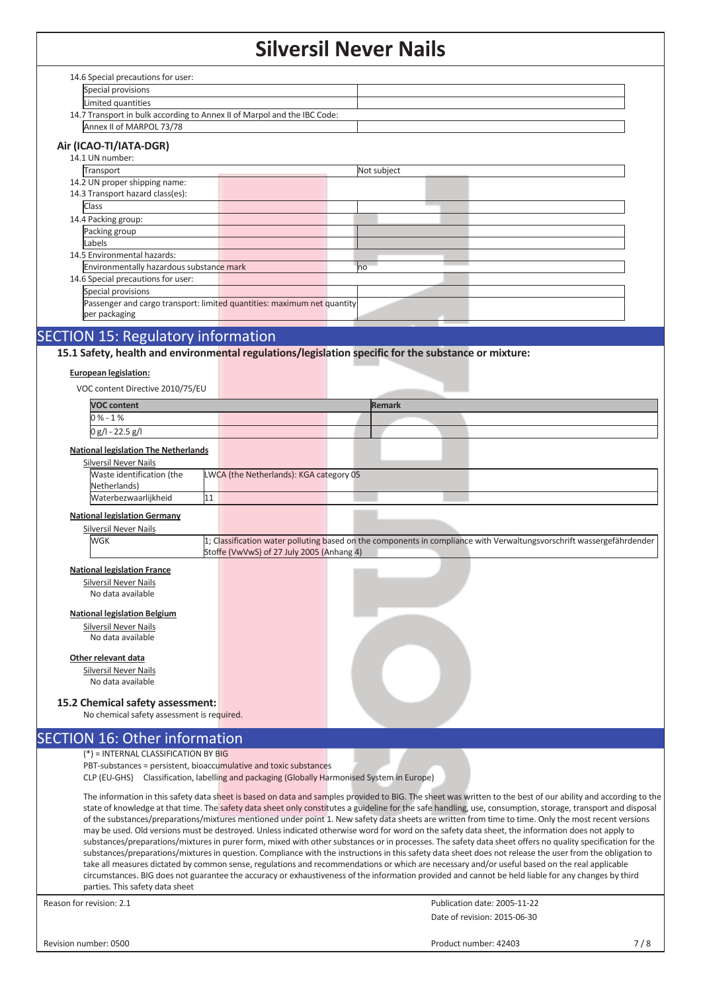|                                                                                                      |                                           | JIIVEI JII IVEVEI IVAIIS |                                                                                                                                                                                                                                                                                                                 |     |
|------------------------------------------------------------------------------------------------------|-------------------------------------------|--------------------------|-----------------------------------------------------------------------------------------------------------------------------------------------------------------------------------------------------------------------------------------------------------------------------------------------------------------|-----|
| 14.6 Special precautions for user:                                                                   |                                           |                          |                                                                                                                                                                                                                                                                                                                 |     |
| Special provisions                                                                                   |                                           |                          |                                                                                                                                                                                                                                                                                                                 |     |
| Limited quantities                                                                                   |                                           |                          |                                                                                                                                                                                                                                                                                                                 |     |
| 14.7 Transport in bulk according to Annex II of Marpol and the IBC Code:                             |                                           |                          |                                                                                                                                                                                                                                                                                                                 |     |
| Annex II of MARPOL 73/78                                                                             |                                           |                          |                                                                                                                                                                                                                                                                                                                 |     |
|                                                                                                      |                                           |                          |                                                                                                                                                                                                                                                                                                                 |     |
| Air (ICAO-TI/IATA-DGR)                                                                               |                                           |                          |                                                                                                                                                                                                                                                                                                                 |     |
| 14.1 UN number:                                                                                      |                                           |                          |                                                                                                                                                                                                                                                                                                                 |     |
| Transport                                                                                            |                                           | Not subject              |                                                                                                                                                                                                                                                                                                                 |     |
| 14.2 UN proper shipping name:<br>14.3 Transport hazard class(es):                                    |                                           |                          |                                                                                                                                                                                                                                                                                                                 |     |
| Class                                                                                                |                                           |                          |                                                                                                                                                                                                                                                                                                                 |     |
| 14.4 Packing group:                                                                                  |                                           |                          |                                                                                                                                                                                                                                                                                                                 |     |
| Packing group                                                                                        |                                           |                          |                                                                                                                                                                                                                                                                                                                 |     |
| Labels                                                                                               |                                           |                          |                                                                                                                                                                                                                                                                                                                 |     |
| 14.5 Environmental hazards:                                                                          |                                           |                          |                                                                                                                                                                                                                                                                                                                 |     |
| Environmentally hazardous substance mark                                                             |                                           | no                       |                                                                                                                                                                                                                                                                                                                 |     |
| 14.6 Special precautions for user:                                                                   |                                           |                          |                                                                                                                                                                                                                                                                                                                 |     |
| Special provisions                                                                                   |                                           |                          |                                                                                                                                                                                                                                                                                                                 |     |
| Passenger and cargo transport: limited quantities: maximum net quantity                              |                                           |                          |                                                                                                                                                                                                                                                                                                                 |     |
| per packaging                                                                                        |                                           |                          |                                                                                                                                                                                                                                                                                                                 |     |
| <b>SECTION 15: Regulatory information</b>                                                            |                                           |                          |                                                                                                                                                                                                                                                                                                                 |     |
|                                                                                                      |                                           |                          |                                                                                                                                                                                                                                                                                                                 |     |
| 15.1 Safety, health and environmental regulations/legislation specific for the substance or mixture: |                                           |                          |                                                                                                                                                                                                                                                                                                                 |     |
| <b>European legislation:</b>                                                                         |                                           |                          |                                                                                                                                                                                                                                                                                                                 |     |
| VOC content Directive 2010/75/EU                                                                     |                                           |                          |                                                                                                                                                                                                                                                                                                                 |     |
|                                                                                                      |                                           |                          |                                                                                                                                                                                                                                                                                                                 |     |
| <b>VOC content</b>                                                                                   |                                           | <b>Remark</b>            |                                                                                                                                                                                                                                                                                                                 |     |
| $0% - 1%$                                                                                            |                                           |                          |                                                                                                                                                                                                                                                                                                                 |     |
| $0 g/l - 22.5 g/l$                                                                                   |                                           |                          |                                                                                                                                                                                                                                                                                                                 |     |
| <b>National legislation The Netherlands</b>                                                          |                                           |                          |                                                                                                                                                                                                                                                                                                                 |     |
| <b>Silversil Never Nails</b>                                                                         |                                           |                          |                                                                                                                                                                                                                                                                                                                 |     |
| Waste identification (the                                                                            | LWCA (the Netherlands): KGA category 05   |                          |                                                                                                                                                                                                                                                                                                                 |     |
| Netherlands)                                                                                         |                                           |                          |                                                                                                                                                                                                                                                                                                                 |     |
| Waterbezwaarlijkheid                                                                                 | 11                                        |                          |                                                                                                                                                                                                                                                                                                                 |     |
| <b>National legislation Germany</b>                                                                  |                                           |                          |                                                                                                                                                                                                                                                                                                                 |     |
| <b>Silversil Never Nails</b>                                                                         |                                           |                          |                                                                                                                                                                                                                                                                                                                 |     |
| WGK                                                                                                  |                                           |                          | 1; Classification water polluting based on the components in compliance with Verwaltungsvorschrift wassergefährdender                                                                                                                                                                                           |     |
|                                                                                                      | Stoffe (VwVwS) of 27 July 2005 (Anhang 4) |                          |                                                                                                                                                                                                                                                                                                                 |     |
| <b>National legislation France</b>                                                                   |                                           |                          |                                                                                                                                                                                                                                                                                                                 |     |
| <b>Silversil Never Nails</b>                                                                         |                                           |                          |                                                                                                                                                                                                                                                                                                                 |     |
| No data available                                                                                    |                                           |                          |                                                                                                                                                                                                                                                                                                                 |     |
| <b>National legislation Belgium</b>                                                                  |                                           |                          |                                                                                                                                                                                                                                                                                                                 |     |
| <b>Silversil Never Nails</b>                                                                         |                                           |                          |                                                                                                                                                                                                                                                                                                                 |     |
| No data available                                                                                    |                                           |                          |                                                                                                                                                                                                                                                                                                                 |     |
|                                                                                                      |                                           |                          |                                                                                                                                                                                                                                                                                                                 |     |
| Other relevant data                                                                                  |                                           |                          |                                                                                                                                                                                                                                                                                                                 |     |
| Silversil Never Nails                                                                                |                                           |                          |                                                                                                                                                                                                                                                                                                                 |     |
| No data available                                                                                    |                                           |                          |                                                                                                                                                                                                                                                                                                                 |     |
| 15.2 Chemical safety assessment:                                                                     |                                           |                          |                                                                                                                                                                                                                                                                                                                 |     |
| No chemical safety assessment is required.                                                           |                                           |                          |                                                                                                                                                                                                                                                                                                                 |     |
|                                                                                                      |                                           |                          |                                                                                                                                                                                                                                                                                                                 |     |
| <b>SECTION 16: Other information</b>                                                                 |                                           |                          |                                                                                                                                                                                                                                                                                                                 |     |
| $(*)$ = INTERNAL CLASSIFICATION BY BIG                                                               |                                           |                          |                                                                                                                                                                                                                                                                                                                 |     |
| PBT-substances = persistent, bioaccumulative and toxic substances                                    |                                           |                          |                                                                                                                                                                                                                                                                                                                 |     |
| CLP (EU-GHS) Classification, labelling and packaging (Globally Harmonised System in Europe)          |                                           |                          |                                                                                                                                                                                                                                                                                                                 |     |
|                                                                                                      |                                           |                          | The information in this safety data sheet is based on data and samples provided to BIG. The sheet was written to the best of our ability and according to the                                                                                                                                                   |     |
|                                                                                                      |                                           |                          | state of knowledge at that time. The safety data sheet only constitutes a guideline for the safe handling, use, consumption, storage, transport and disposal                                                                                                                                                    |     |
|                                                                                                      |                                           |                          | of the substances/preparations/mixtures mentioned under point 1. New safety data sheets are written from time to time. Only the most recent versions                                                                                                                                                            |     |
|                                                                                                      |                                           |                          | may be used. Old versions must be destroyed. Unless indicated otherwise word for word on the safety data sheet, the information does not apply to<br>substances/preparations/mixtures in purer form, mixed with other substances or in processes. The safety data sheet offers no quality specification for the |     |
|                                                                                                      |                                           |                          | substances/preparations/mixtures in question. Compliance with the instructions in this safety data sheet does not release the user from the obligation to                                                                                                                                                       |     |
|                                                                                                      |                                           |                          | take all measures dictated by common sense, regulations and recommendations or which are necessary and/or useful based on the real applicable                                                                                                                                                                   |     |
|                                                                                                      |                                           |                          | circumstances. BIG does not guarantee the accuracy or exhaustiveness of the information provided and cannot be held liable for any changes by third                                                                                                                                                             |     |
| parties. This safety data sheet                                                                      |                                           |                          |                                                                                                                                                                                                                                                                                                                 |     |
| Reason for revision: 2.1                                                                             |                                           |                          | Publication date: 2005-11-22                                                                                                                                                                                                                                                                                    |     |
|                                                                                                      |                                           |                          | Date of revision: 2015-06-30                                                                                                                                                                                                                                                                                    |     |
|                                                                                                      |                                           |                          |                                                                                                                                                                                                                                                                                                                 |     |
| Revision number: 0500                                                                                |                                           |                          | Product number: 42403                                                                                                                                                                                                                                                                                           | 7/8 |